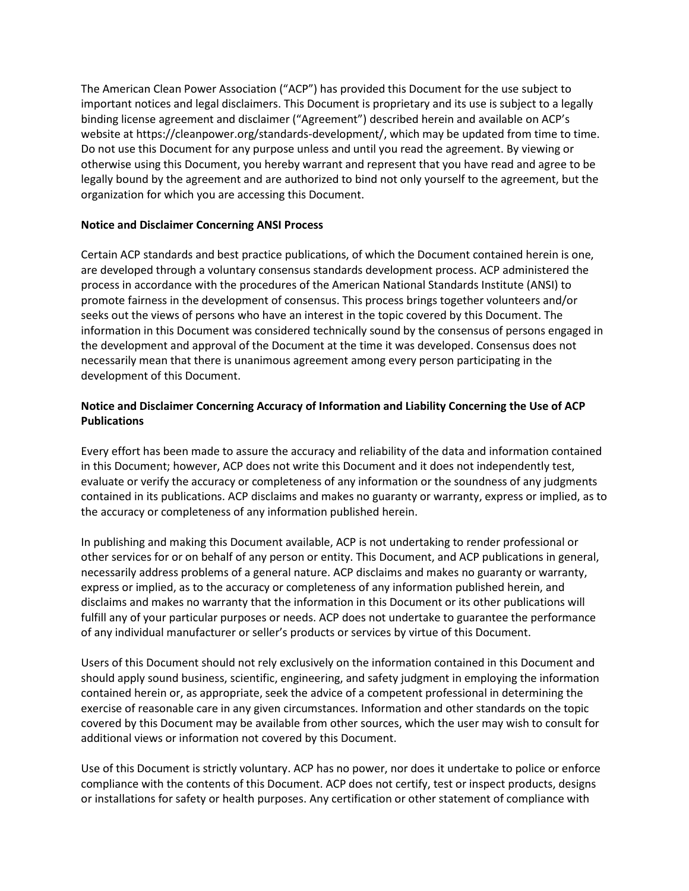The American Clean Power Association ("ACP") has provided this Document for the use subject to important notices and legal disclaimers. This Document is proprietary and its use is subject to a legally binding license agreement and disclaimer ("Agreement") described herein and available on ACP's website at https://cleanpower.org/standards-development/, which may be updated from time to time. Do not use this Document for any purpose unless and until you read the agreement. By viewing or otherwise using this Document, you hereby warrant and represent that you have read and agree to be legally bound by the agreement and are authorized to bind not only yourself to the agreement, but the organization for which you are accessing this Document.

## **Notice and Disclaimer Concerning ANSI Process**

Certain ACP standards and best practice publications, of which the Document contained herein is one, are developed through a voluntary consensus standards development process. ACP administered the process in accordance with the procedures of the American National Standards Institute (ANSI) to promote fairness in the development of consensus. This process brings together volunteers and/or seeks out the views of persons who have an interest in the topic covered by this Document. The information in this Document was considered technically sound by the consensus of persons engaged in the development and approval of the Document at the time it was developed. Consensus does not necessarily mean that there is unanimous agreement among every person participating in the development of this Document.

## **Notice and Disclaimer Concerning Accuracy of Information and Liability Concerning the Use of ACP Publications**

Every effort has been made to assure the accuracy and reliability of the data and information contained in this Document; however, ACP does not write this Document and it does not independently test, evaluate or verify the accuracy or completeness of any information or the soundness of any judgments contained in its publications. ACP disclaims and makes no guaranty or warranty, express or implied, as to the accuracy or completeness of any information published herein.

In publishing and making this Document available, ACP is not undertaking to render professional or other services for or on behalf of any person or entity. This Document, and ACP publications in general, necessarily address problems of a general nature. ACP disclaims and makes no guaranty or warranty, express or implied, as to the accuracy or completeness of any information published herein, and disclaims and makes no warranty that the information in this Document or its other publications will fulfill any of your particular purposes or needs. ACP does not undertake to guarantee the performance of any individual manufacturer or seller's products or services by virtue of this Document.

Users of this Document should not rely exclusively on the information contained in this Document and should apply sound business, scientific, engineering, and safety judgment in employing the information contained herein or, as appropriate, seek the advice of a competent professional in determining the exercise of reasonable care in any given circumstances. Information and other standards on the topic covered by this Document may be available from other sources, which the user may wish to consult for additional views or information not covered by this Document.

Use of this Document is strictly voluntary. ACP has no power, nor does it undertake to police or enforce compliance with the contents of this Document. ACP does not certify, test or inspect products, designs or installations for safety or health purposes. Any certification or other statement of compliance with